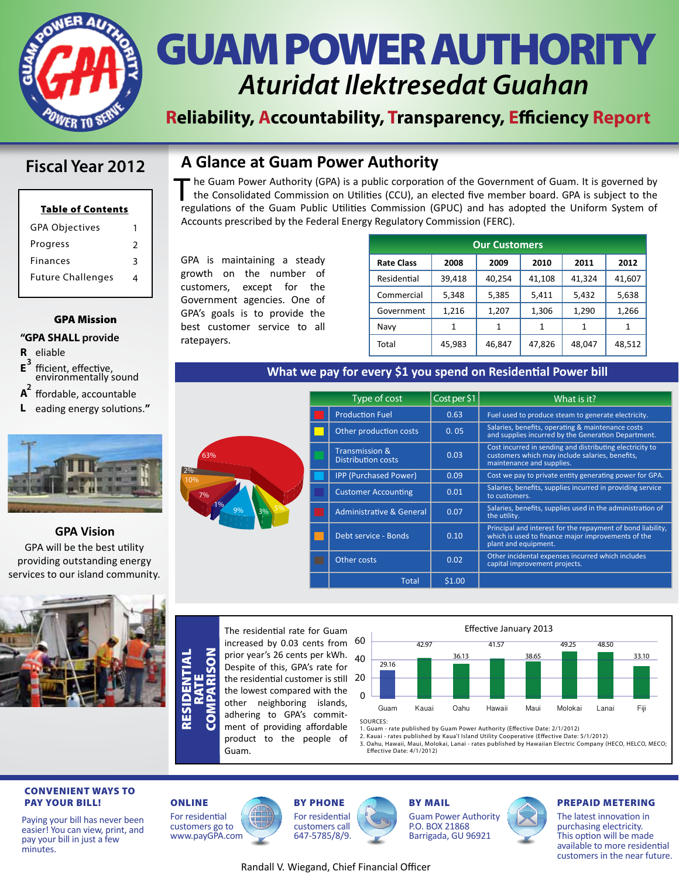

### GUAM POWER AUTHORITY *Aturidat Ilektresedat Guahan*

#### **Reliability, Accountability, Transparency, Efficiency Report**

The Guam Power Authority (GPA) is a public corporation of the Government of Guam. It is governed by<br>the Consolidated Commission on Utilities (CCU), an elected five member board. GPA is subject to the<br>resultions of the Cuam the Consolidated Commission on Utilities (CCU), an elected five member board. GPA is subject to the regulations of the Guam Public Utilities Commission (GPUC) and has adopted the Uniform System of

> Residential Commercial Government

Navy Total

**What we pay for every \$1 you spend on Residential Power bill**

39,418 5,348 1,216 1 45,983

Accounts prescribed by the Federal Energy Regulatory Commission (FERC).

**A Glance at Guam Power Authority**

#### **Fiscal Year 2012**

| 2 |
|---|
| ঽ |
|   |
|   |

#### GPA Mission

#### **"GPA SHALL provide**

- **R** eliable
- $E^3$ **<sup>3</sup>** fficient, effective, environmentally sound
- **2 A** ffordable, accountable
- **L** eading energy solutions.**"**



#### **GPA Vision**

GPA will be the best utility providing outstanding energy services to our island community.



COMPARISON RESIDENTIAL ESIDENTIAL  $\overline{\mathbf{S}}$ Œ RATE



GPA is maintaining a steady growth on the number of customers, except for the Government agencies. One of GPA's goals is to provide the best customer service to all

ratepayers.

|  | Type of cost                                           | Cost per \$1 | What is it?                                                                                                                               |
|--|--------------------------------------------------------|--------------|-------------------------------------------------------------------------------------------------------------------------------------------|
|  |                                                        |              |                                                                                                                                           |
|  | <b>Production Fuel</b>                                 | 0.63         | Fuel used to produce steam to generate electricity.                                                                                       |
|  | Other production costs                                 | 0.05         | Salaries, benefits, operating & maintenance costs<br>and supplies incurred by the Generation Department.                                  |
|  | <b>Transmission &amp;</b><br><b>Distribution costs</b> | 0.03         | Cost incurred in sending and distributing electricity to<br>customers which may include salaries, benefits,<br>maintenance and supplies.  |
|  | <b>IPP (Purchased Power)</b>                           | 0.09         | Cost we pay to private entity generating power for GPA.                                                                                   |
|  | <b>Customer Accounting</b>                             | 0.01         | Salaries, benefits, supplies incurred in providing service<br>to customers.                                                               |
|  | <b>Administrative &amp; General</b>                    | 0.07         | Salaries, benefits, supplies used in the administration of<br>the utility.                                                                |
|  | Debt service - Bonds                                   | 0.10         | Principal and interest for the repayment of bond liability,<br>which is used to finance major improvements of the<br>plant and equipment. |
|  | Other costs                                            | 0.02         | Other incidental expenses incurred which includes<br>capital improvement projects.                                                        |
|  | <b>Total</b>                                           | \$1.00       |                                                                                                                                           |

**Rate Class 2008 2009 2010 2011 2012**

**Our Customers**

41,108 5,411 1,306 1 47,826 41,324 5,432 1,290 1 48,047 41,607 5,638 1,266 1 48,512

40,254 5,385 1,207 1 46,847

The residential rate for Guam increased by 0.03 cents from 60 prior year's 26 cents per kWh. Despite of this, GPA's rate for the residential customer is still 20 the lowest compared with the other neighboring islands, adhering to GPA's commitment of providing affordable product to the people of Guam.



1. Guam - rate published by Guam Power Authority (Effective Date: 2/1/2012)

2. Kauai - rates published by Kaua'I Island Utility Cooperative (Effective Date: 5/1/2012)<br>3. Oahu, Hawaii, Maui, Molokai, Lanai - rates published by Hawaiian Electric Company (HECO, HELCO, MECO; Effective Date: 4/1/2012)

#### CONVENIENT WAYS TO PAY YOUR BILL! ONLINE BY PHONE

Paying your bill has never been easier! You can view, print, and pay your bill in just a few minutes.

#### For residential customers go to www.payGPA.com







Guam Power Authority P.O. BOX 21868 Barrigada, GU 96921



#### PREPAID METERING

The latest innovation in purchasing electricity. This option will be made available to more residential customers in the near future.

#### Randall V. Wiegand, Chief Financial Officer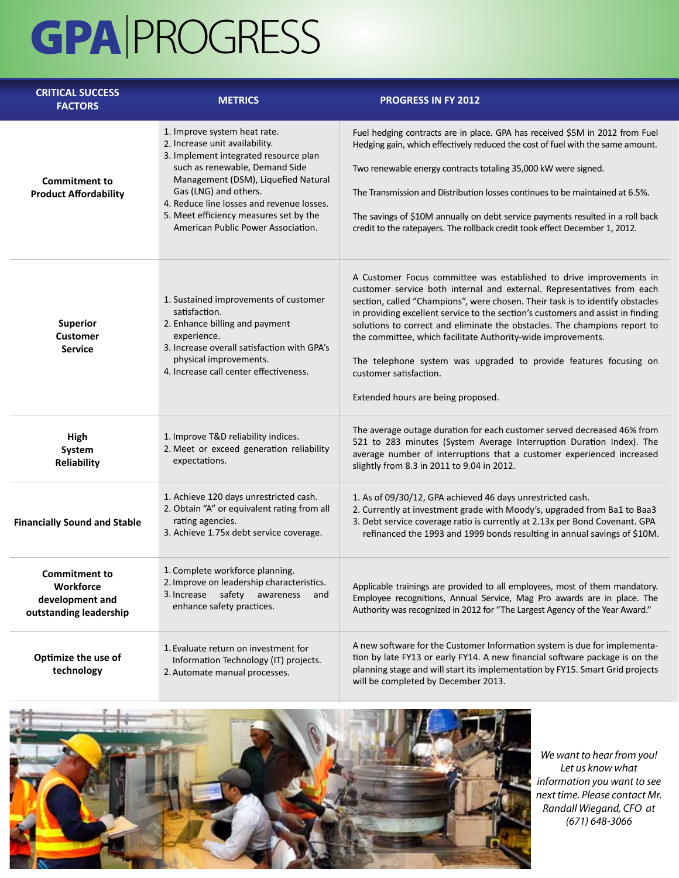## GPA PROGRESS

| <b>CRITICAL SUCCESS</b><br><b>FACTORS</b>                                      | <b>METRICS</b>                                                                                                                                                                                                                                                                                                                         | <b>PROGRESS IN FY 2012</b>                                                                                                                                                                                                                                                                                                                                                                                                                                                                                                                                                                          |
|--------------------------------------------------------------------------------|----------------------------------------------------------------------------------------------------------------------------------------------------------------------------------------------------------------------------------------------------------------------------------------------------------------------------------------|-----------------------------------------------------------------------------------------------------------------------------------------------------------------------------------------------------------------------------------------------------------------------------------------------------------------------------------------------------------------------------------------------------------------------------------------------------------------------------------------------------------------------------------------------------------------------------------------------------|
| <b>Commitment to</b><br><b>Product Affordability</b>                           | 1. Improve system heat rate.<br>2. Increase unit availability.<br>3. Implement integrated resource plan<br>such as renewable, Demand Side<br>Management (DSM), Liquefied Natural<br>Gas (LNG) and others.<br>4. Reduce line losses and revenue losses.<br>5. Meet efficiency measures set by the<br>American Public Power Association. | Fuel hedging contracts are in place. GPA has received \$5M in 2012 from Fuel<br>Hedging gain, which effectively reduced the cost of fuel with the same amount.<br>Two renewable energy contracts totaling 35,000 kW were signed.<br>The Transmission and Distribution losses continues to be maintained at 6.5%.<br>The savings of \$10M annually on debt service payments resulted in a roll back<br>credit to the ratepayers. The rollback credit took effect December 1, 2012.                                                                                                                   |
| <b>Superior</b><br><b>Customer</b><br><b>Service</b>                           | 1. Sustained improvements of customer<br>satisfaction.<br>2. Enhance billing and payment<br>experience.<br>3. Increase overall satisfaction with GPA's<br>physical improvements.<br>4. Increase call center effectiveness.                                                                                                             | A Customer Focus committee was established to drive improvements in<br>customer service both internal and external. Representatives from each<br>section, called "Champions", were chosen. Their task is to identify obstacles<br>in providing excellent service to the section's customers and assist in finding<br>solutions to correct and eliminate the obstacles. The champions report to<br>the committee, which facilitate Authority-wide improvements.<br>The telephone system was upgraded to provide features focusing on<br>customer satisfaction.<br>Extended hours are being proposed. |
| High<br>System<br>Reliability                                                  | 1. Improve T&D reliability indices.<br>2. Meet or exceed generation reliability<br>expectations.                                                                                                                                                                                                                                       | The average outage duration for each customer served decreased 46% from<br>521 to 283 minutes (System Average Interruption Duration Index). The<br>average number of interruptions that a customer experienced increased<br>slightly from 8.3 in 2011 to 9.04 in 2012.                                                                                                                                                                                                                                                                                                                              |
| <b>Financially Sound and Stable</b>                                            | 1. Achieve 120 days unrestricted cash.<br>2. Obtain "A" or equivalent rating from all<br>rating agencies.<br>3. Achieve 1.75x debt service coverage.                                                                                                                                                                                   | 1. As of 09/30/12, GPA achieved 46 days unrestricted cash.<br>2. Currently at investment grade with Moody's, upgraded from Ba1 to Baa3<br>3. Debt service coverage ratio is currently at 2.13x per Bond Covenant. GPA<br>refinanced the 1993 and 1999 bonds resulting in annual savings of \$10M.                                                                                                                                                                                                                                                                                                   |
| <b>Commitment to</b><br>Workforce<br>development and<br>outstanding leadership | 1. Complete workforce planning.<br>2. Improve on leadership characteristics.<br>3. Increase<br>safety<br>awareness<br>and<br>enhance safety practices.                                                                                                                                                                                 | Applicable trainings are provided to all employees, most of them mandatory.<br>Employee recognitions, Annual Service, Mag Pro awards are in place. The<br>Authority was recognized in 2012 for "The Largest Agency of the Year Award."                                                                                                                                                                                                                                                                                                                                                              |
| Optimize the use of<br>technology                                              | 1. Evaluate return on investment for<br>Information Technology (IT) projects.<br>2. Automate manual processes.                                                                                                                                                                                                                         | A new software for the Customer Information system is due for implementa-<br>tion by late FY13 or early FY14. A new financial software package is on the<br>planning stage and will start its implementation by FY15. Smart Grid projects<br>will be completed by December 2013.                                                                                                                                                                                                                                                                                                                    |



*We want to hear from you! Let us know what information you want to see next time. Please contact Mr. Randall Wiegand, CFO at (671) 648-3066*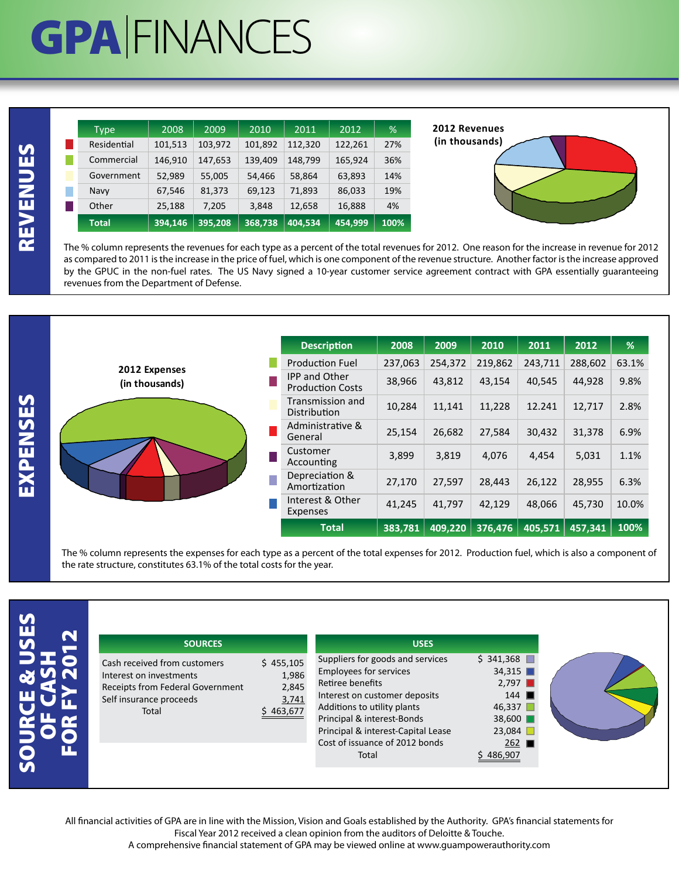## **GPA FINANCES**

| <b>Type</b>  | 2008    | 2009    | 2010    | 2011    | 2012    | ℅    |
|--------------|---------|---------|---------|---------|---------|------|
| Residential  | 101,513 | 103,972 | 101,892 | 112,320 | 122,261 | 27%  |
| Commercial   | 146,910 | 147,653 | 139,409 | 148,799 | 165,924 | 36%  |
| Government   | 52,989  | 55,005  | 54,466  | 58,864  | 63,893  | 14%  |
| Navy         | 67,546  | 81,373  | 69,123  | 71,893  | 86,033  | 19%  |
| Other        | 25,188  | 7,205   | 3,848   | 12,658  | 16,888  | 4%   |
| <b>Total</b> | 394,146 | 395.208 | 368.738 | 404,534 | 454,999 | 100% |

**2012 Revenues (in thousands)**



The % column represents the revenues for each type as a percent of the total revenues for 2012. One reason for the increase in revenue for 2012 as compared to 2011 is the increase in the price of fuel, which is one component of the revenue structure. Another factor is the increase approved by the GPUC in the non-fuel rates. The US Navy signed a 10-year customer service agreement contract with GPA essentially guaranteeing revenues from the Department of Defense.

|                                 | <b>Description</b>                              | 2008    | 2009    | 2010    | 2011    | 2012    | $\frac{9}{6}$ |
|---------------------------------|-------------------------------------------------|---------|---------|---------|---------|---------|---------------|
|                                 | <b>Production Fuel</b>                          | 237,063 | 254,372 | 219,862 | 243,711 | 288,602 | 63.1%         |
| 2012 Expenses<br>(in thousands) | <b>IPP and Other</b><br><b>Production Costs</b> | 38,966  | 43,812  | 43,154  | 40,545  | 44,928  | 9.8%          |
|                                 | Transmission and<br>Distribution                | 10,284  | 11,141  | 11,228  | 12.241  | 12,717  | 2.8%          |
|                                 | Administrative &<br>General                     | 25,154  | 26,682  | 27,584  | 30,432  | 31,378  | 6.9%          |
|                                 | Customer<br>Accounting                          | 3,899   | 3,819   | 4,076   | 4,454   | 5,031   | 1.1%          |
|                                 | Depreciation &<br>Amortization                  | 27,170  | 27,597  | 28,443  | 26,122  | 28,955  | 6.3%          |
|                                 | Interest & Other<br>Expenses                    | 41,245  | 41,797  | 42,129  | 48,066  | 45,730  | 10.0%         |
|                                 | <b>Total</b>                                    | 383.781 | 409,220 | 376,476 | 405,571 | 457,341 | 100%          |

The % column represents the expenses for each type as a percent of the total expenses for 2012. Production fuel, which is also a component of the rate structure, constitutes 63.1% of the total costs for the year.

| ۴<br>$\bullet$ | ſ<br>Ò<br>s |
|----------------|-------------|
|                |             |

| <b>SOURCES</b>                                                                                                                  |
|---------------------------------------------------------------------------------------------------------------------------------|
| Cash received from customers<br>Interest on investments<br>Receipts from Federal Government<br>Self insurance proceeds<br>Total |

All financial activities of GPA are in line with the Mission, Vision and Goals established by the Authority. GPA's financial statements for Fiscal Year 2012 received a clean opinion from the auditors of Deloitte & Touche.

A comprehensive financial statement of GPA may be viewed online at www.guampowerauthority.com